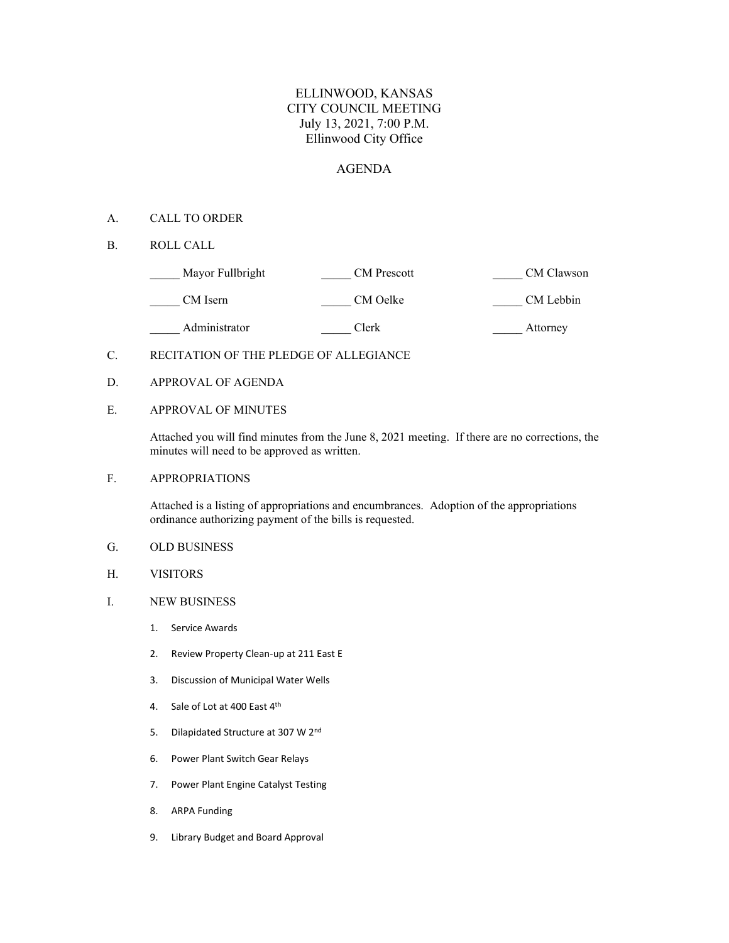## ELLINWOOD, KANSAS CITY COUNCIL MEETING July 13, 2021, 7:00 P.M. Ellinwood City Office

### AGENDA

#### A. CALL TO ORDER

B. ROLL CALL

| Mayor Fullbright | <b>CM</b> Prescott | CM Clawson |
|------------------|--------------------|------------|
| CM Isern         | CM Oelke           | CM Lebbin  |
| Administrator    | Clerk              | Attorney   |

- C. RECITATION OF THE PLEDGE OF ALLEGIANCE
- D. APPROVAL OF AGENDA

#### E. APPROVAL OF MINUTES

Attached you will find minutes from the June 8, 2021 meeting. If there are no corrections, the minutes will need to be approved as written.

F. APPROPRIATIONS

Attached is a listing of appropriations and encumbrances. Adoption of the appropriations ordinance authorizing payment of the bills is requested.

- G. OLD BUSINESS
- H. VISITORS
- I. NEW BUSINESS
	- 1. Service Awards
	- 2. Review Property Clean-up at 211 East E
	- 3. Discussion of Municipal Water Wells
	- 4. Sale of Lot at 400 East 4th
	- 5. Dilapidated Structure at 307 W 2nd
	- 6. Power Plant Switch Gear Relays
	- 7. Power Plant Engine Catalyst Testing
	- 8. ARPA Funding
	- 9. Library Budget and Board Approval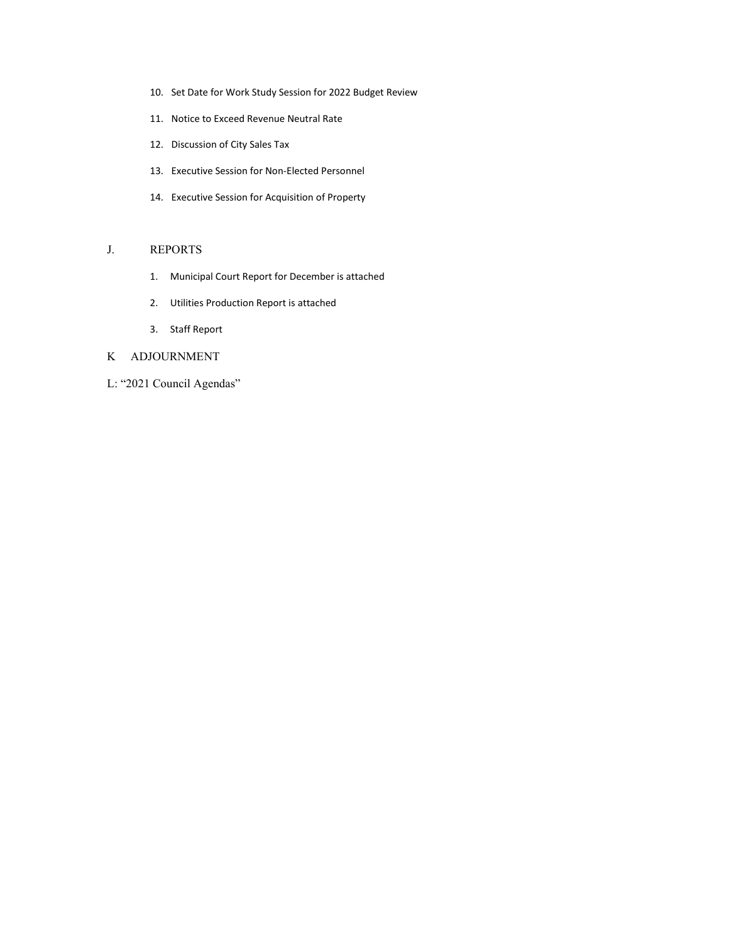- 10. Set Date for Work Study Session for 2022 Budget Review
- 11. Notice to Exceed Revenue Neutral Rate
- 12. Discussion of City Sales Tax
- 13. Executive Session for Non-Elected Personnel
- 14. Executive Session for Acquisition of Property

#### J. REPORTS

- 1. Municipal Court Report for December is attached
- 2. Utilities Production Report is attached
- 3. Staff Report

### K ADJOURNMENT

L: "2021 Council Agendas"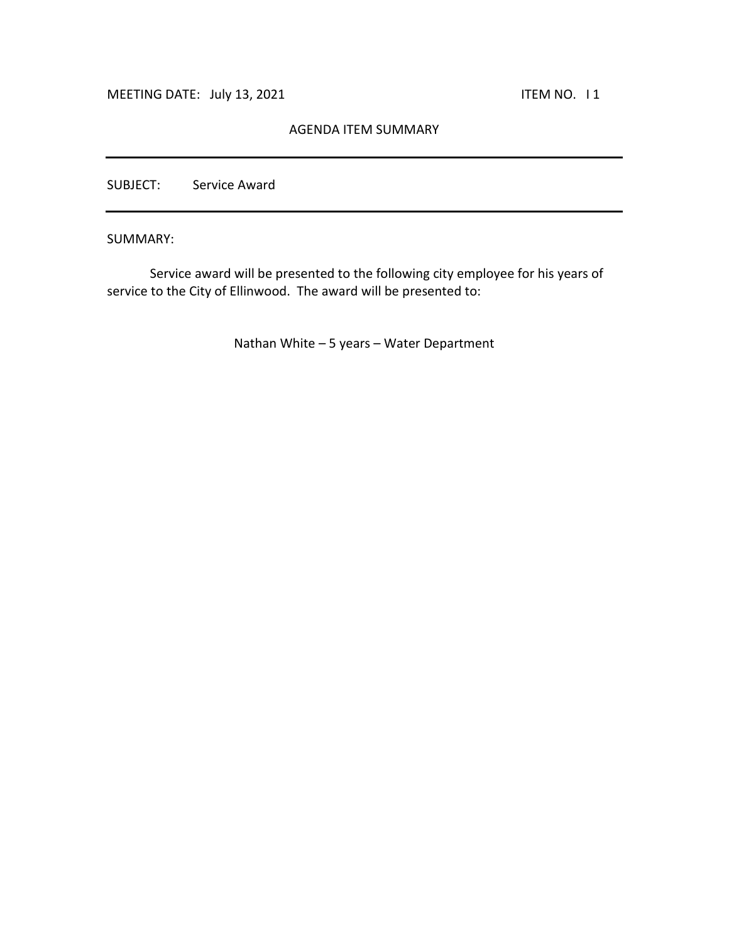## AGENDA ITEM SUMMARY

SUBJECT: Service Award

SUMMARY:

Service award will be presented to the following city employee for his years of service to the City of Ellinwood. The award will be presented to:

Nathan White – 5 years – Water Department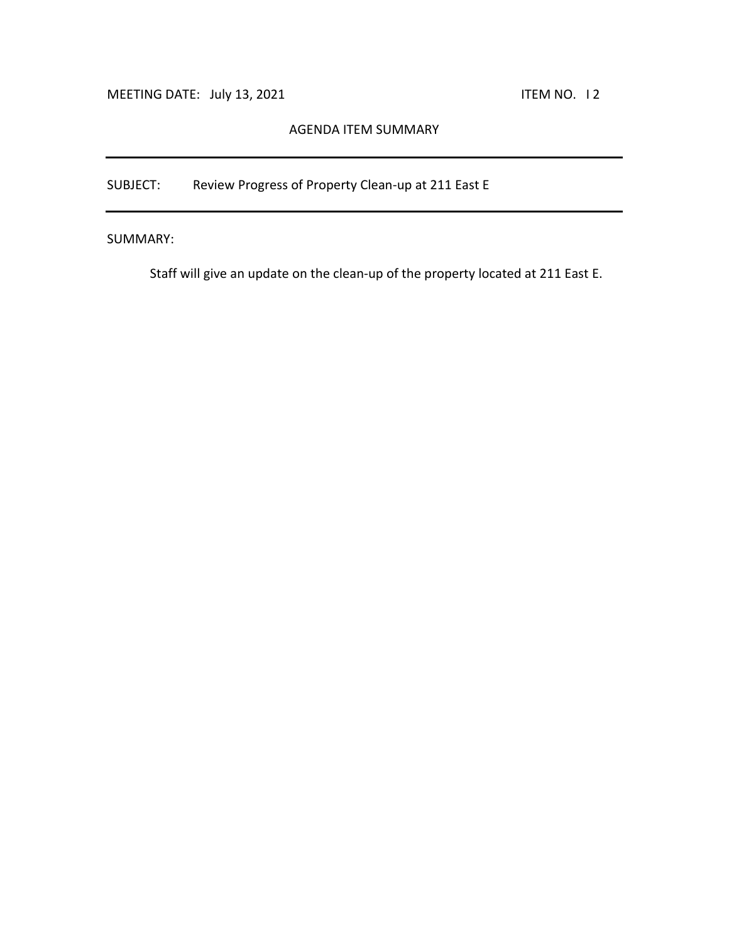# AGENDA ITEM SUMMARY

SUBJECT: Review Progress of Property Clean-up at 211 East E

SUMMARY:

Staff will give an update on the clean-up of the property located at 211 East E.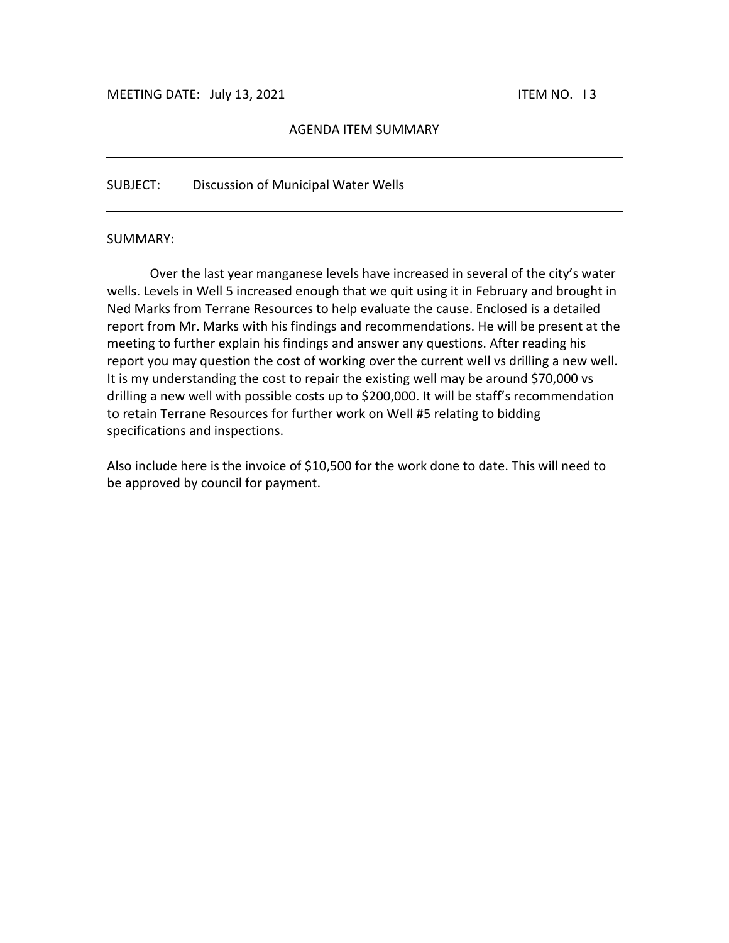### AGENDA ITEM SUMMARY

### SUBJECT: Discussion of Municipal Water Wells

#### SUMMARY:

 Over the last year manganese levels have increased in several of the city's water wells. Levels in Well 5 increased enough that we quit using it in February and brought in Ned Marks from Terrane Resources to help evaluate the cause. Enclosed is a detailed report from Mr. Marks with his findings and recommendations. He will be present at the meeting to further explain his findings and answer any questions. After reading his report you may question the cost of working over the current well vs drilling a new well. It is my understanding the cost to repair the existing well may be around \$70,000 vs drilling a new well with possible costs up to \$200,000. It will be staff's recommendation to retain Terrane Resources for further work on Well #5 relating to bidding specifications and inspections.

Also include here is the invoice of \$10,500 for the work done to date. This will need to be approved by council for payment.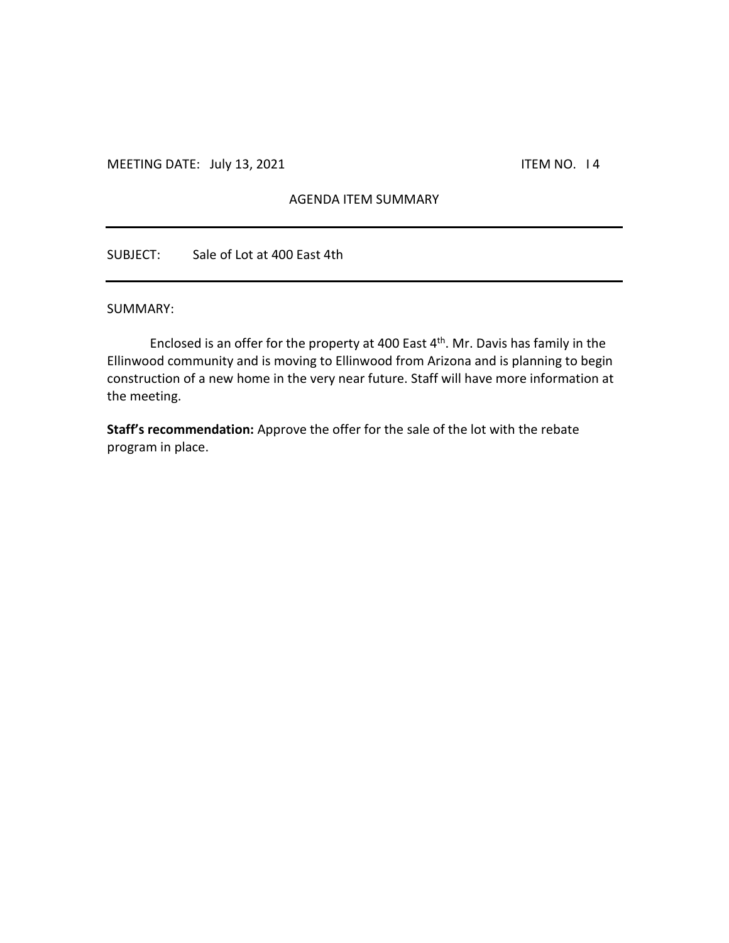## AGENDA ITEM SUMMARY

SUBJECT: Sale of Lot at 400 East 4th

### SUMMARY:

Enclosed is an offer for the property at 400 East  $4<sup>th</sup>$ . Mr. Davis has family in the Ellinwood community and is moving to Ellinwood from Arizona and is planning to begin construction of a new home in the very near future. Staff will have more information at the meeting.

**Staff's recommendation:** Approve the offer for the sale of the lot with the rebate program in place.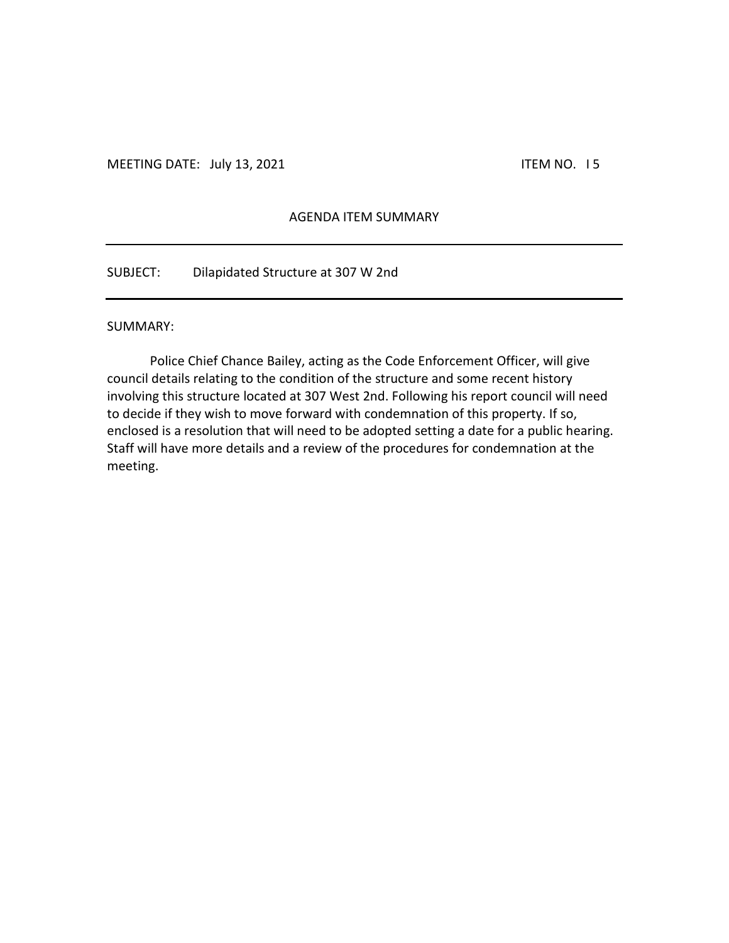# AGENDA ITEM SUMMARY

SUBJECT: Dilapidated Structure at 307 W 2nd

#### SUMMARY:

Police Chief Chance Bailey, acting as the Code Enforcement Officer, will give council details relating to the condition of the structure and some recent history involving this structure located at 307 West 2nd. Following his report council will need to decide if they wish to move forward with condemnation of this property. If so, enclosed is a resolution that will need to be adopted setting a date for a public hearing. Staff will have more details and a review of the procedures for condemnation at the meeting.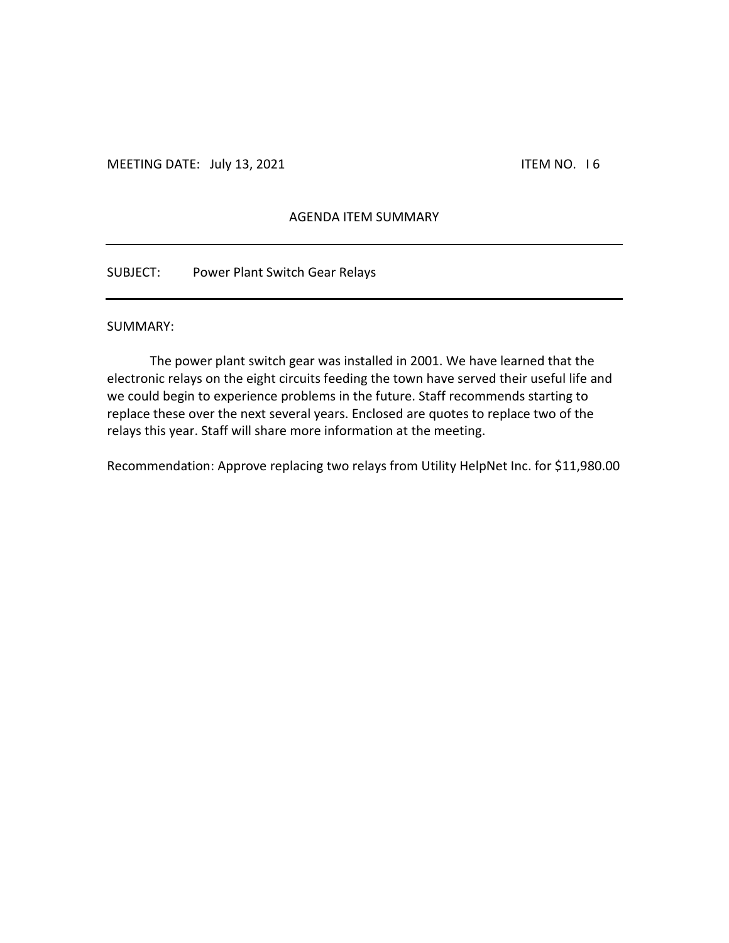# AGENDA ITEM SUMMARY

SUBJECT: Power Plant Switch Gear Relays

#### SUMMARY:

The power plant switch gear was installed in 2001. We have learned that the electronic relays on the eight circuits feeding the town have served their useful life and we could begin to experience problems in the future. Staff recommends starting to replace these over the next several years. Enclosed are quotes to replace two of the relays this year. Staff will share more information at the meeting.

Recommendation: Approve replacing two relays from Utility HelpNet Inc. for \$11,980.00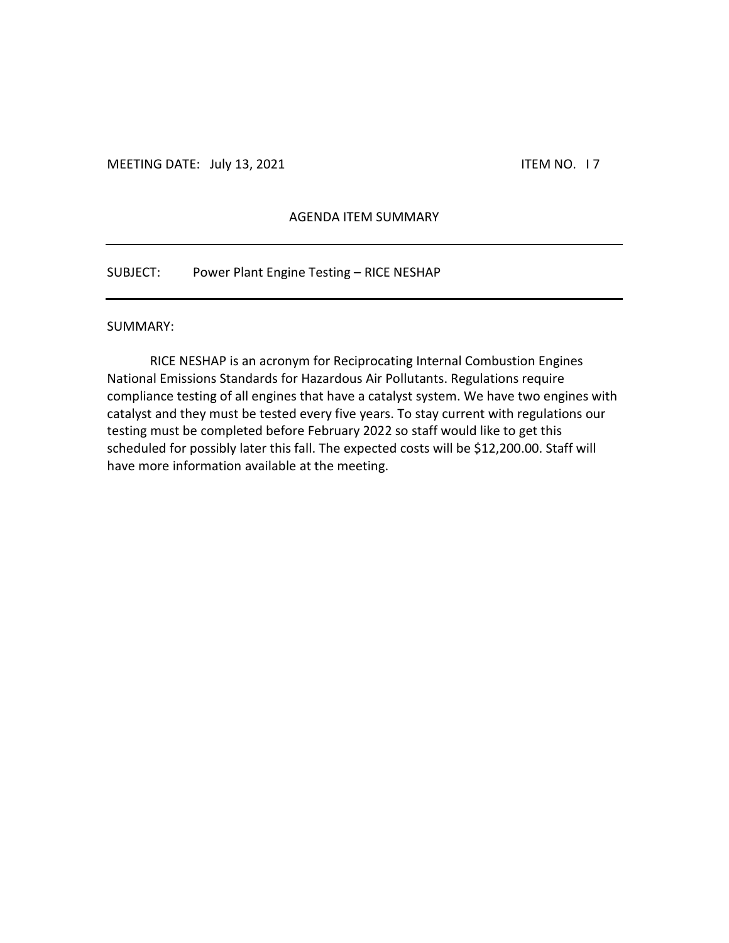### AGENDA ITEM SUMMARY

SUBJECT: Power Plant Engine Testing – RICE NESHAP

#### SUMMARY:

RICE NESHAP is an acronym for Reciprocating Internal Combustion Engines National Emissions Standards for Hazardous Air Pollutants. Regulations require compliance testing of all engines that have a catalyst system. We have two engines with catalyst and they must be tested every five years. To stay current with regulations our testing must be completed before February 2022 so staff would like to get this scheduled for possibly later this fall. The expected costs will be \$12,200.00. Staff will have more information available at the meeting.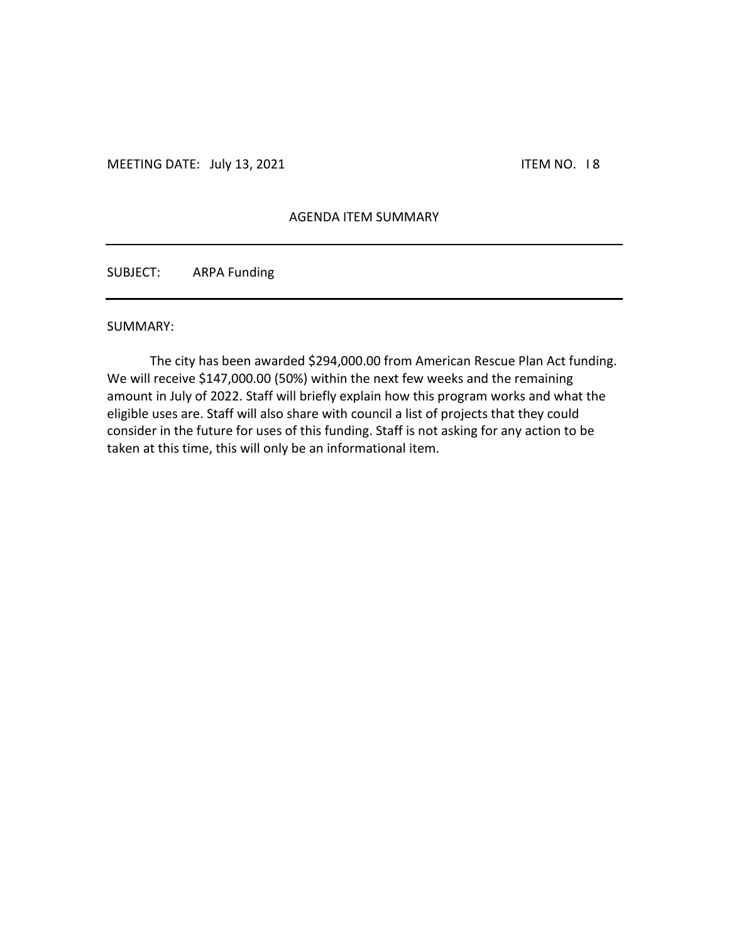### AGENDA ITEM SUMMARY

SUBJECT: ARPA Funding

#### SUMMARY:

The city has been awarded \$294,000.00 from American Rescue Plan Act funding. We will receive \$147,000.00 (50%) within the next few weeks and the remaining amount in July of 2022. Staff will briefly explain how this program works and what the eligible uses are. Staff will also share with council a list of projects that they could consider in the future for uses of this funding. Staff is not asking for any action to be taken at this time, this will only be an informational item.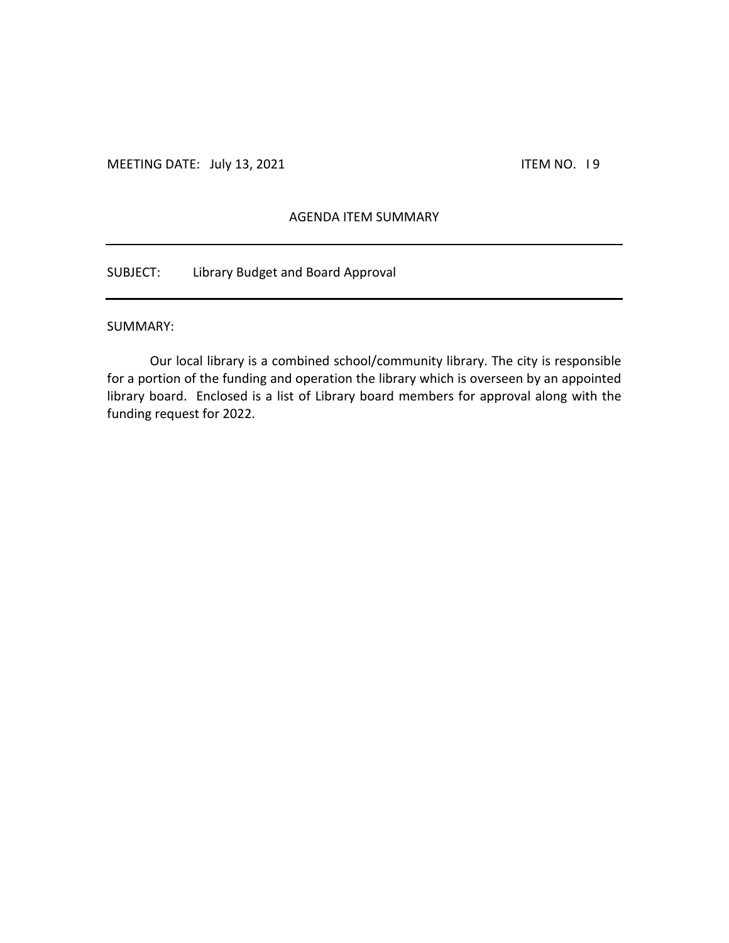# AGENDA ITEM SUMMARY

SUBJECT: Library Budget and Board Approval

#### SUMMARY:

Our local library is a combined school/community library. The city is responsible for a portion of the funding and operation the library which is overseen by an appointed library board. Enclosed is a list of Library board members for approval along with the funding request for 2022.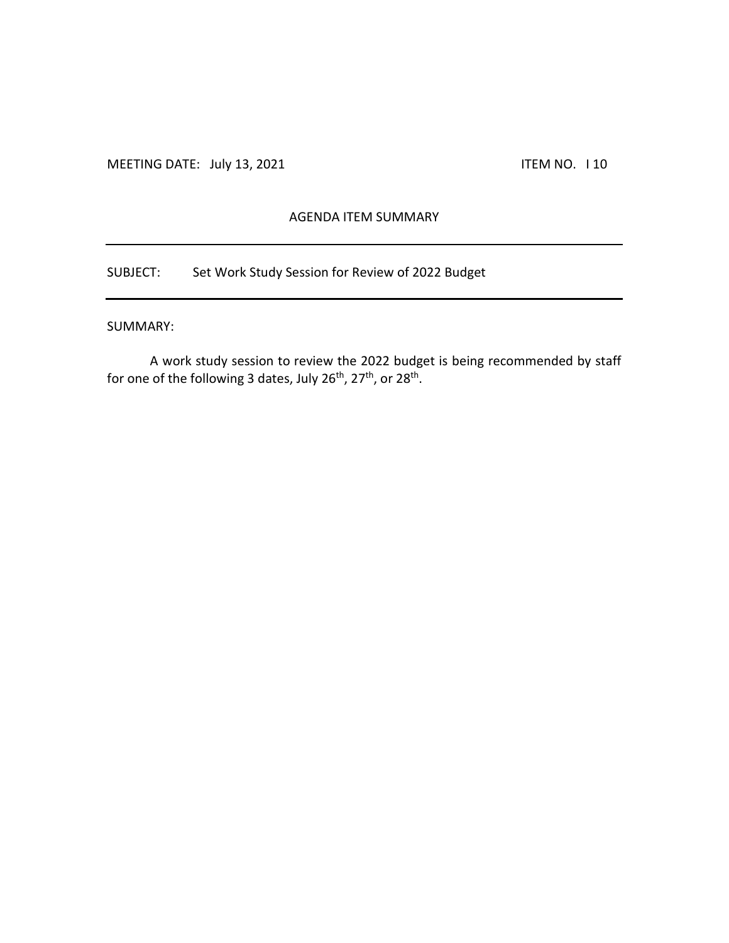# AGENDA ITEM SUMMARY

SUBJECT: Set Work Study Session for Review of 2022 Budget

### SUMMARY:

A work study session to review the 2022 budget is being recommended by staff for one of the following 3 dates, July 26<sup>th</sup>, 27<sup>th</sup>, or 28<sup>th</sup>.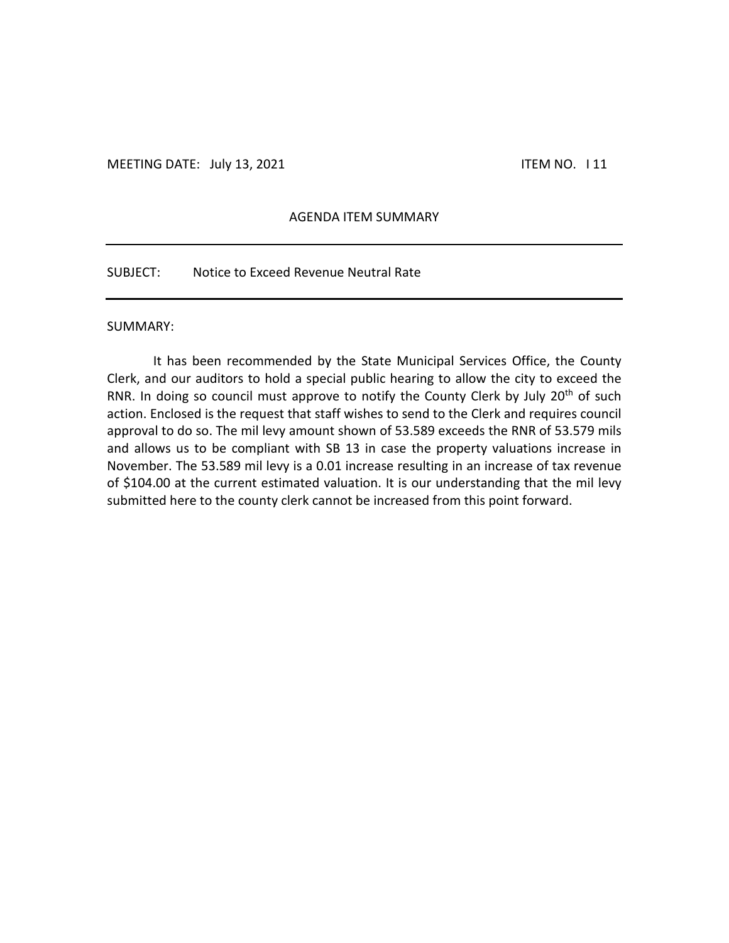### AGENDA ITEM SUMMARY

SUBJECT: Notice to Exceed Revenue Neutral Rate

#### SUMMARY:

It has been recommended by the State Municipal Services Office, the County Clerk, and our auditors to hold a special public hearing to allow the city to exceed the RNR. In doing so council must approve to notify the County Clerk by July 20<sup>th</sup> of such action. Enclosed is the request that staff wishes to send to the Clerk and requires council approval to do so. The mil levy amount shown of 53.589 exceeds the RNR of 53.579 mils and allows us to be compliant with SB 13 in case the property valuations increase in November. The 53.589 mil levy is a 0.01 increase resulting in an increase of tax revenue of \$104.00 at the current estimated valuation. It is our understanding that the mil levy submitted here to the county clerk cannot be increased from this point forward.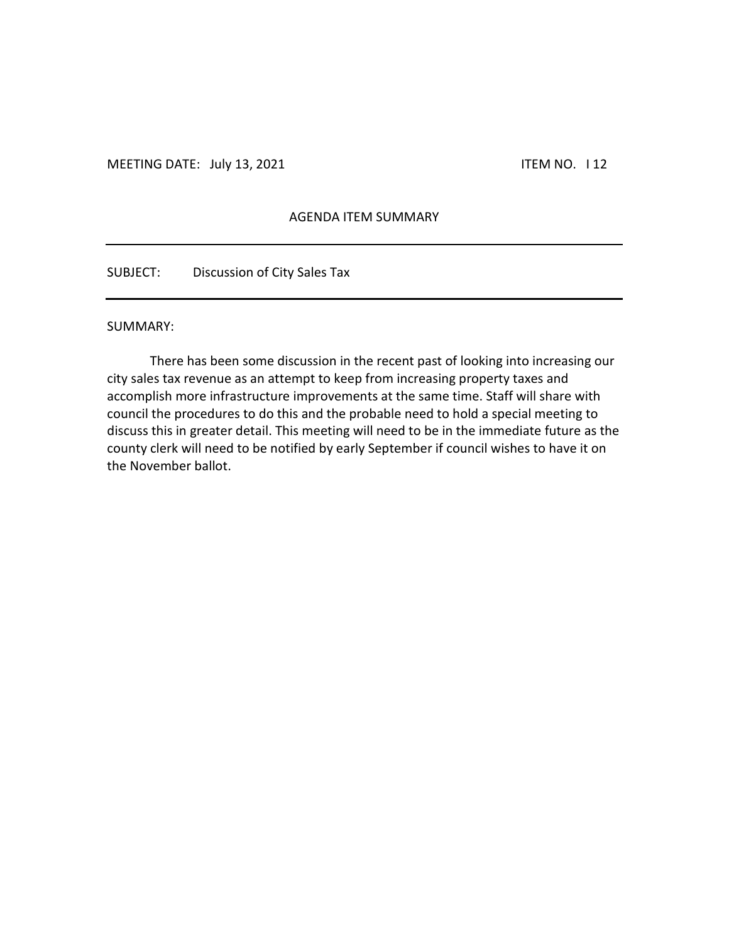## AGENDA ITEM SUMMARY

SUBJECT: Discussion of City Sales Tax

#### SUMMARY:

There has been some discussion in the recent past of looking into increasing our city sales tax revenue as an attempt to keep from increasing property taxes and accomplish more infrastructure improvements at the same time. Staff will share with council the procedures to do this and the probable need to hold a special meeting to discuss this in greater detail. This meeting will need to be in the immediate future as the county clerk will need to be notified by early September if council wishes to have it on the November ballot.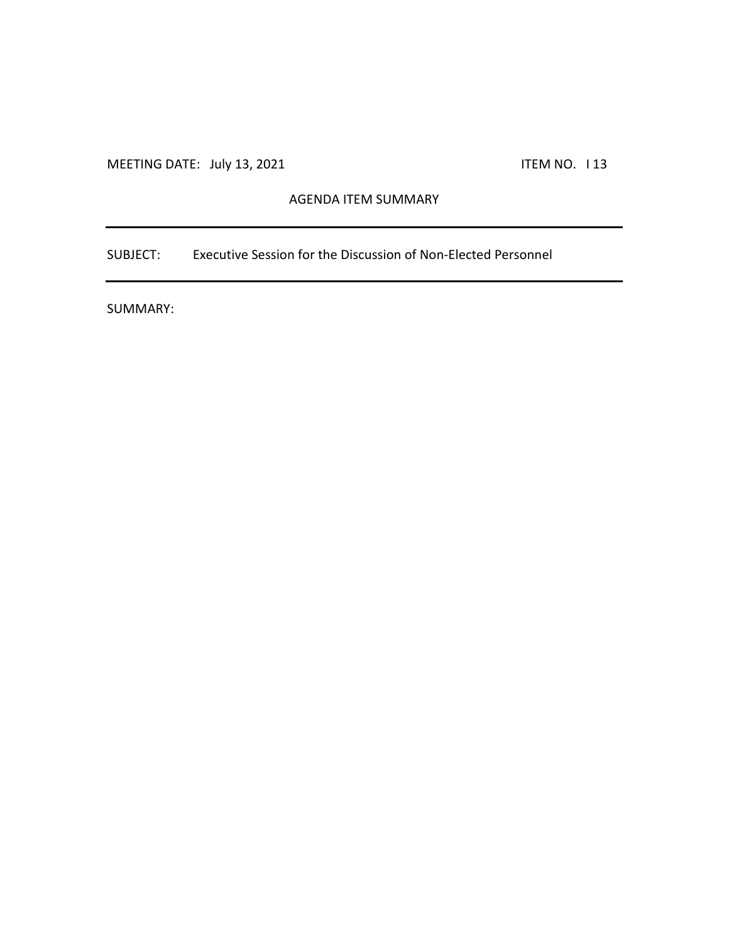# AGENDA ITEM SUMMARY

SUBJECT: Executive Session for the Discussion of Non-Elected Personnel

SUMMARY: